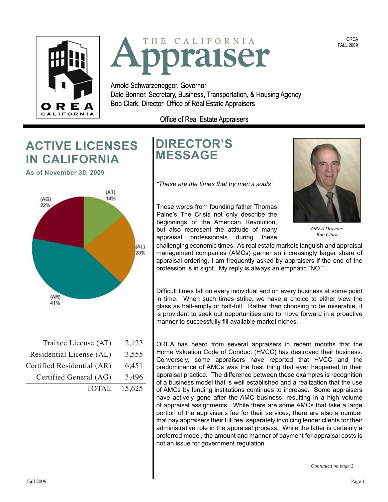



Arnold Schwarzenegger, Governor Governor Dale Bonner, Secretary, Business, Transportation, & Housing Agency Agency **R E A** Bob Clark, Director, Office of Real Estate Appraisers

Office of Real Estate Appraisers

# **ACTIVE LICENSES IN CALIFORNIA**

 **As of November 30, 2009** 



### Trainee License (AT) 2,123 Residential License (AL) 3,555 Certified Residential (AR) 6,451 Certified General (AG) 3,496

TOTAL 15,625

# **DIRECTOR'S MESSAGE**

*"These are the times that try men's souls"* 

These words from founding father Thomas Paine's The Crisis not only describe the beginnings of the American Revolution, but also represent the attitude of many appraisal professionals during these



*OREA Director Bob Clark* 

challenging economic times. As real estate markets languish and appraisal management companies (AMCs) garner an increasingly larger share of appraisal ordering, I am frequently asked by appraisers if the end of the profession is in sight. My reply is always an emphatic "NO."

Difficult times fall on every individual and on every business at some point in time. When such times strike, we have a choice to either view the glass as half-empty or half-full. Rather than choosing to be miserable, it is provident to seek out opportunities and to move forward in a proactive manner to successfully fill available market niches.

OREA has heard from several appraisers in recent months that the Home Valuation Code of Conduct (HVCC) has destroyed their business. Conversely, some appraisers have reported that HVCC and the predominance of AMCs was the best thing that ever happened to their appraisal practice. The difference between these examples is recognition of a business model that is well established and a realization that the use of AMCs by lending institutions continues to increase. Some appraisers have actively gone after the AMC business, resulting in a high volume of appraisal assignments. While there are some AMCs that take a large portion of the appraiser's fee for their services, there are also a number that pay appraisers their full fee, separately invoicing lender clients for their administrative role in the appraisal process. While the latter is certainly a preferred model, the amount and manner of payment for appraisal costs is not an issue for government regulation.

OREA FALL 2009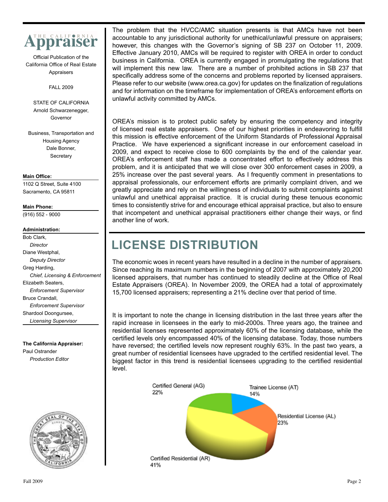

Official Publication of the California Office of Real Estate Appraisers

FALL 2009

STATE OF CALIFORNIA Arnold Schwarzenegger, Governor

Business, Transportation and Housing Agency Dale Bonner, **Secretary** 

#### **Main Office:**

1102 Q Street, Suite 4100 Sacramento, CA 95811

#### **Main Phone:**

(916) 552 - 9000

#### **Administration:**

Bob Clark, *Director*  Diane Westphal, *Deputy Director*  Greg Harding, *Chief, Licensing & Enforcement*  Elizabeth Seaters, *Enforcement Supervisor*  Bruce Crandall, *Enforcement Supervisor*  Shardool Doongursee, *Licensing Supervisor* 

**The California Appraiser:**  Paul Ostrander *Production Editor* 



 business in California. OREA is currently engaged in promulgating the regulations that The problem that the HVCC/AMC situation presents is that AMCs have not been accountable to any jurisdictional authority for unethical/unlawful pressure on appraisers; however, this changes with the Governor's signing of SB 237 on October 11, 2009. Effective January 2010, AMCs will be required to register with OREA in order to conduct will implement this new law. There are a number of prohibited actions in SB 237 that specifically address some of the concerns and problems reported by licensed appraisers. Please refer to our website ([www.orea.ca.gov\)](www.orea.ca.gov) for updates on the finalization of regulations and for information on the timeframe for implementation of OREA's enforcement efforts on unlawful activity committed by AMCs.

OREA's mission is to protect public safety by ensuring the competency and integrity of licensed real estate appraisers. One of our highest priorities in endeavoring to fulfill this mission is effective enforcement of the Uniform Standards of Professional Appraisal Practice. We have experienced a significant increase in our enforcement caseload in 2009, and expect to receive close to 600 complaints by the end of the calendar year. OREA's enforcement staff has made a concentrated effort to effectively address this problem, and it is anticipated that we will close over 300 enforcement cases in 2009, a 25% increase over the past several years. As I frequently comment in presentations to appraisal professionals, our enforcement efforts are primarily complaint driven, and we greatly appreciate and rely on the willingness of individuals to submit complaints against unlawful and unethical appraisal practice. It is crucial during these tenuous economic times to consistently strive for and encourage ethical appraisal practice, but also to ensure that incompetent and unethical appraisal practitioners either change their ways, or find another line of work.

# **LICENSE DISTRIBUTION**

The economic woes in recent years have resulted in a decline in the number of appraisers. Since reaching its maximum numbers in the beginning of 2007 with approximately 20,200 licensed appraisers, that number has continued to steadily decline at the Office of Real Estate Appraisers (OREA). In November 2009, the OREA had a total of approximately 15,700 licensed appraisers; representing a 21% decline over that period of time.

It is important to note the change in licensing distribution in the last three years after the rapid increase in licensees in the early to mid-2000s. Three years ago, the trainee and residential licenses represented approximately 60% of the licensing database, while the certified levels only encompassed 40% of the licensing database. Today, those numbers have reversed; the certified levels now represent roughly 63%. In the past two years, a great number of residential licensees have upgraded to the certified residential level. The biggest factor in this trend is residential licensees upgrading to the certified residential level.

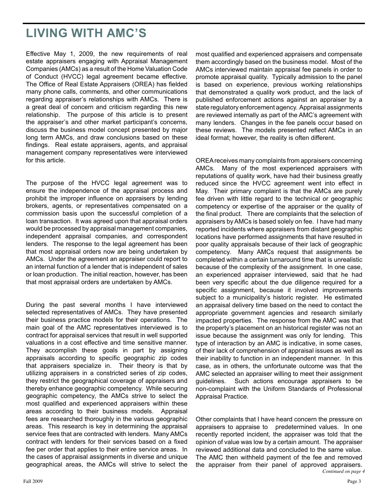# **LIVING WITH AMC'S**

Effective May 1, 2009, the new requirements of real estate appraisers engaging with Appraisal Management Companies (AMCs) as a result of the Home Valuation Code of Conduct (HVCC) legal agreement became effective. The Office of Real Estate Appraisers (OREA) has fielded many phone calls, comments, and other communications regarding appraiser's relationships with AMCs. There is a great deal of concern and criticism regarding this new relationship. The purpose of this article is to present the appraiser's and other market participant's concerns, discuss the business model concept presented by major long term AMCs, and draw conclusions based on these findings. Real estate appraisers, agents, and appraisal management company representatives were interviewed for this article.

The purpose of the HVCC legal agreement was to ensure the independence of the appraisal process and prohibit the improper influence on appraisers by lending brokers, agents, or representatives compensated on a commission basis upon the successful completion of a loan transaction. It was agreed upon that appraisal orders would be processed by appraisal management companies, independent appraisal companies, and correspondent lenders. The response to the legal agreement has been that most appraisal orders now are being undertaken by AMCs. Under the agreement an appraiser could report to an internal function of a lender that is independent of sales or loan production. The initial reaction, however, has been that most appraisal orders are undertaken by AMCs.

During the past several months I have interviewed selected representatives of AMCs. They have presented their business practice models for their operations. The main goal of the AMC representatives interviewed is to contract for appraisal services that result in well supported valuations in a cost effective and time sensitive manner. They accomplish these goals in part by assigning appraisals according to specific geographic zip codes that appraisers specialize in. Their theory is that by utilizing appraisers in a constricted series of zip codes, they restrict the geographical coverage of appraisers and thereby enhance geographic competency. While securing geographic competency, the AMCs strive to select the most qualified and experienced appraisers within these areas according to their business models. Appraisal fees are researched thoroughly in the various geographic areas. This research is key in determining the appraisal service fees that are contracted with lenders. Many AMCs contract with lenders for their services based on a fixed fee per order that applies to their entire service areas. In the cases of appraisal assignments in diverse and unique geographical areas, the AMCs will strive to select the most qualified and experienced appraisers and compensate them accordingly based on the business model. Most of the AMCs interviewed maintain appraisal fee panels in order to promote appraisal quality. Typically admission to the panel is based on experience, previous working relationships that demonstrated a quality work product, and the lack of published enforcement actions against an appraiser by a state regulatory enforcement agency. Appraisal assignments are reviewed internally as part of the AMC's agreement with many lenders. Changes in the fee panels occur based on these reviews. The models presented reflect AMCs in an ideal format; however, the reality is often different.

 the final product. There are complaints that the selection of OREAreceives many complaints from appraisers concerning AMCs. Many of the most experienced appraisers with reputations of quality work, have had their business greatly reduced since the HVCC agreement went into effect in May. Their primary complaint is that the AMCs are purely fee driven with little regard to the technical or geographic competency or expertise of the appraiser or the quality of appraisers by AMCs is based solely on fee. I have had many reported incidents where appraisers from distant geographic locations have performed assignments that have resulted in poor quality appraisals because of their lack of geographic competency. Many AMCs request that assignments be completed within a certain turnaround time that is unrealistic because of the complexity of the assignment. In one case, an experienced appraiser interviewed, said that he had been very specific about the due diligence required for a specific assignment, because it involved improvements subject to a municipality's historic register. He estimated an appraisal delivery time based on the need to contact the appropriate government agencies and research similarly impacted properties. The response from the AMC was that the property's placement on an historical register was not an issue because the assignment was only for lending. This type of interaction by an AMC is indicative, in some cases, of their lack of comprehension of appraisal issues as well as their inability to function in an independent manner. In this case, as in others, the unfortunate outcome was that the AMC selected an appraiser willing to meet their assignment guidelines. Such actions encourage appraisers to be non-complaint with the Uniform Standards of Professional Appraisal Practice.

 appraisers to appraise to predetermined values. In one Other complaints that I have heard concern the pressure on recently reported incident, the appraiser was told that the opinion of value was low by a certain amount. The appraiser reviewed additional data and concluded to the same value. The AMC then withheld payment of the fee and removed the appraiser from their panel of approved appraisers. *Continued on page 4*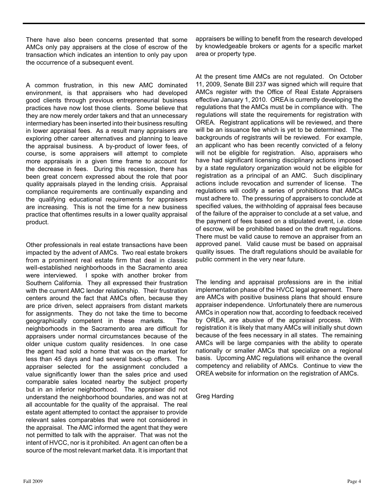There have also been concerns presented that some AMCs only pay appraisers at the close of escrow of the transaction which indicates an intention to only pay upon the occurrence of a subsequent event.

 the appraisal business. A by-product of lower fees, of A common frustration, in this new AMC dominated environment, is that appraisers who had developed good clients through previous entrepreneurial business practices have now lost those clients. Some believe that they are now merely order takers and that an unnecessary intermediary has been inserted into their business resulting in lower appraisal fees. As a result many appraisers are exploring other career alternatives and planning to leave course, is some appraisers will attempt to complete more appraisals in a given time frame to account for the decrease in fees. During this recession, there has been great concern expressed about the role that poor quality appraisals played in the lending crisis. Appraisal compliance requirements are continually expanding and the qualifying educational requirements for appraisers are increasing. This is not the time for a new business practice that oftentimes results in a lower quality appraisal product.

 from a prominent real estate firm that deal in classic Other professionals in real estate transactions have been impacted by the advent of AMCs. Two real estate brokers well-established neighborhoods in the Sacramento area were interviewed. I spoke with another broker from Southern California. They all expressed their frustration with the current AMC lender relationship. Their frustration centers around the fact that AMCs often, because they are price driven, select appraisers from distant markets for assignments. They do not take the time to become geographically competent in these markets. The neighborhoods in the Sacramento area are difficult for appraisers under normal circumstances because of the older unique custom quality residences. In one case the agent had sold a home that was on the market for less than 45 days and had several back-up offers. The appraiser selected for the assignment concluded a value significantly lower than the sales price and used comparable sales located nearby the subject property but in an inferior neighborhood. The appraiser did not understand the neighborhood boundaries, and was not at all accountable for the quality of the appraisal. The real estate agent attempted to contact the appraiser to provide relevant sales comparables that were not considered in the appraisal. The AMC informed the agent that they were not permitted to talk with the appraiser. That was not the intent of HVCC, nor is it prohibited. An agent can often be a source of the most relevant market data. It is important that

appraisers be willing to benefit from the research developed by knowledgeable brokers or agents for a specific market area or property type.

 effective January 1, 2010. OREA is currently developing the At the present time AMCs are not regulated. On October 11, 2009, Senate Bill 237 was signed which will require that AMCs register with the Office of Real Estate Appraisers regulations that the AMCs must be in compliance with. The regulations will state the requirements for registration with OREA. Registrant applications will be reviewed, and there will be an issuance fee which is yet to be determined. The backgrounds of registrants will be reviewed. For example, an applicant who has been recently convicted of a felony will not be eligible for registration. Also, appraisers who have had significant licensing disciplinary actions imposed by a state regulatory organization would not be eligible for registration as a principal of an AMC. Such disciplinary actions include revocation and surrender of license. The regulations will codify a series of prohibitions that AMCs must adhere to. The pressuring of appraisers to conclude at specified values, the withholding of appraisal fees because of the failure of the appraiser to conclude at a set value, and the payment of fees based on a stipulated event, i.e. close of escrow, will be prohibited based on the draft regulations. There must be valid cause to remove an appraiser from an approved panel. Valid cause must be based on appraisal quality issues. The draft regulations should be available for public comment in the very near future.

The lending and appraisal professions are in the initial implementation phase of the HVCC legal agreement. There are AMCs with positive business plans that should ensure appraiser independence. Unfortunately there are numerous AMCs in operation now that, according to feedback received by OREA, are abusive of the appraisal process. With registration it is likely that many AMCs will initially shut down because of the fees necessary in all states. The remaining AMCs will be large companies with the ability to operate nationally or smaller AMCs that specialize on a regional basis. Upcoming AMC regulations will enhance the overall competency and reliability of AMCs. Continue to view the OREA website for information on the registration of AMCs.

Greg Harding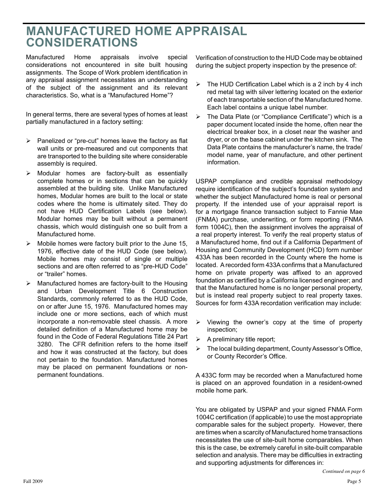# **MANUFACTURED HOME APPRAISAL CONSIDERATIONS**

Manufactured Home appraisals involve special considerations not encountered in site built housing assignments. The Scope of Work problem identification in any appraisal assignment necessitates an understanding of the subject of the assignment and its relevant characteristics. So, what is a "Manufactured Home"?

In general terms, there are several types of homes at least partially manufactured in a factory setting:

- $\triangleright$  Panelized or "pre-cut" homes leave the factory as flat wall units or pre-measured and cut components that are transported to the building site where considerable assembly is required.
- $\triangleright$  Modular homes are factory-built as essentially complete homes or in sections that can be quickly assembled at the building site. Unlike Manufactured homes, Modular homes are built to the local or state codes where the home is ultimately sited. They do not have HUD Certification Labels (see below). Modular homes may be built without a permanent chassis, which would distinguish one so built from a Manufactured home.
- $\triangleright$  Mobile homes were factory built prior to the June 15, 1976, effective date of the HUD Code (see below). Mobile homes may consist of single or multiple sections and are often referred to as "pre-HUD Code" or "trailer" homes.
- incorporate a non-removable steel chassis. A more  $\triangleright$  Manufactured homes are factory-built to the Housing and Urban Development Title 6 Construction Standards, commonly referred to as the HUD Code, on or after June 15, 1976. Manufactured homes may include one or more sections, each of which must detailed definition of a Manufactured home may be found in the Code of Federal Regulations Title 24 Part 3280. The CFR definition refers to the home itself and how it was constructed at the factory, but does not pertain to the foundation. Manufactured homes may be placed on permanent foundations or nonpermanent foundations.

Verification of construction to the HUD Code may be obtained during the subject property inspection by the presence of:

- $\triangleright$  The HUD Certification Label which is a 2 inch by 4 inch red metal tag with silver lettering located on the exterior of each transportable section of the Manufactured home. Each label contains a unique label number.
- $\triangleright$  The Data Plate (or "Compliance Certificate") which is a paper document located inside the home, often near the electrical breaker box, in a closet near the washer and dryer, or on the base cabinet under the kitchen sink. The Data Plate contains the manufacturer's name, the trade/ model name, year of manufacture, and other pertinent information.

 located. A recorded form 433A confirms that a Manufactured USPAP compliance and credible appraisal methodology require identification of the subject's foundation system and whether the subject Manufactured home is real or personal property. If the intended use of your appraisal report is for a mortgage finance transaction subject to Fannie Mae (FNMA) purchase, underwriting, or form reporting (FNMA form 1004C), then the assignment involves the appraisal of a real property interest. To verify the real property status of a Manufactured home, find out if a California Department of Housing and Community Development (HCD) form number 433A has been recorded in the County where the home is home on private property was affixed to an approved foundation as certified by a California licensed engineer; and that the Manufactured home is no longer personal property, but is instead real property subject to real property taxes. Sources for form 433A recordation verification may include:

- $\triangleright$  Viewing the owner's copy at the time of property inspection;
- $\triangleright$  A preliminary title report;
- $\triangleright$  The local building department, County Assessor's Office, or County Recorder's Office.

A 433C form may be recorded when a Manufactured home is placed on an approved foundation in a resident-owned mobile home park.

You are obligated by USPAP and your signed FNMA Form 1004C certification (if applicable) to use the most appropriate comparable sales for the subject property. However, there are times when a scarcity of Manufactured home transactions necessitates the use of site-built home comparables. When this is the case, be extremely careful in site-built comparable selection and analysis. There may be difficulties in extracting and supporting adjustments for differences in: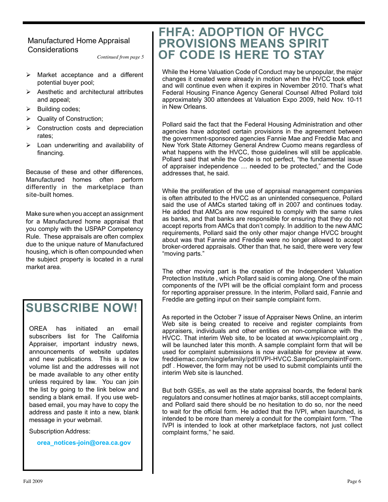### Manufactured Home Appraisal **Considerations**

*Continued from page 5* 

- $\triangleright$  Market acceptance and a different potential buyer pool;
- $\triangleright$  Aesthetic and architectural attributes and appeal;
- $\triangleright$  Building codes;
- $\triangleright$  Quality of Construction;
- $\triangleright$  Construction costs and depreciation rates;
- $\triangleright$  Loan underwriting and availability of financing.

 differently in the marketplace than Because of these and other differences, Manufactured homes often perform site-built homes.

Make sure when you accept an assignment for a Manufactured home appraisal that you comply with the USPAP Competency Rule. These appraisals are often complex due to the unique nature of Manufactured housing, which is often compounded when the subject property is located in a rural market area.

# **SUBSCRIBE NOW!**

OREA has initiated an email subscribers list for The California Appraiser, important industry news, announcements of website updates and new publications. This is a low volume list and the addresses will not be made available to any other entity unless required by law. You can join the list by going to the link below and sending a blank email. If you use webbased email, you may have to copy the address and paste it into a new, blank message in your webmail.

Subscription Address:

**[orea\\_notices-join@orea.ca.gov](mailto:orea_notices-join@orea.ca.gov)** 

# **FHFA: ADOPTION OF HVCC PROVISIONS MEANS SPIRIT OF CODE IS HERE TO STAY**

While the Home Valuation Code of Conduct may be unpopular, the major changes it created were already in motion when the HVCC took effect and will continue even when it expires in November 2010. That's what Federal Housing Finance Agency General Counsel Alfred Pollard told approximately 300 attendees at Valuation Expo 2009, held Nov. 10-11 in New Orleans.

Pollard said the fact that the Federal Housing Administration and other agencies have adopted certain provisions in the agreement between the government-sponsored agencies Fannie Mae and Freddie Mac and New York State Attorney General Andrew Cuomo means regardless of what happens with the HVCC, those guidelines will still be applicable. Pollard said that while the Code is not perfect, "the fundamental issue of appraiser independence … needed to be protected," and the Code addresses that, he said.

While the proliferation of the use of appraisal management companies is often attributed to the HVCC as an unintended consequence, Pollard said the use of AMCs started taking off in 2007 and continues today. He added that AMCs are now required to comply with the same rules as banks, and that banks are responsible for ensuring that they do not accept reports from AMCs that don't comply. In addition to the new AMC requirements, Pollard said the only other major change HVCC brought about was that Fannie and Freddie were no longer allowed to accept broker-ordered appraisals. Other than that, he said, there were very few "moving parts."

The other moving part is the creation of the Independent Valuation Protection Institute , which Pollard said is coming along. One of the main components of the IVPI will be the official complaint form and process for reporting appraiser pressure. In the interim, Pollard said, Fannie and Freddie are getting input on their sample complaint form.

As reported in the October 7 issue of Appraiser News Online, an interim Web site is being created to receive and register complaints from appraisers, individuals and other entities on non-compliance with the HVCC. That interim Web site, to be located at <www.ivpicomplaint.org>, will be launched later this month. A sample complaint form that will be used for complaint submissions is now available for preview at www. [freddiemac.com/singlefamily/pdf/IVPI-HVCC.SampleComplaintForm](https://freddiemac.com/singlefamily/pdf/IVPI-HVCC.SampleComplaintForm). pdf . However, the form may not be used to submit complaints until the interim Web site is launched.

But both GSEs, as well as the state appraisal boards, the federal bank regulators and consumer hotlines at major banks, still accept complaints, and Pollard said there should be no hesitation to do so, nor the need to wait for the official form. He added that the IVPI, when launched, is intended to be more than merely a conduit for the complaint form. "The IVPI is intended to look at other marketplace factors, not just collect complaint forms," he said.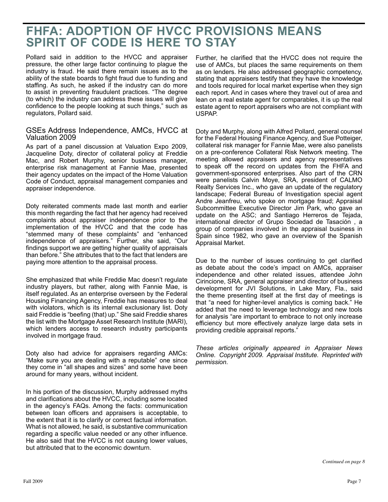## **FHFA: ADOPTION OF HVCC PROVISIONS MEANS SPIRIT OF CODE IS HERE TO STAY**

Pollard said in addition to the HVCC and appraiser pressure, the other large factor continuing to plague the industry is fraud. He said there remain issues as to the ability of the state boards to fight fraud due to funding and staffing. As such, he asked if the industry can do more to assist in preventing fraudulent practices. "The degree (to which) the industry can address these issues will give confidence to the people looking at such things," such as regulators, Pollard said.

#### GSEs Address Independence, AMCs, HVCC at Valuation 2009

As part of a panel discussion at Valuation Expo 2009, Jacqueline Doty, director of collateral policy at Freddie Mac, and Robert Murphy, senior business manager, enterprise risk management at Fannie Mae, presented their agency updates on the impact of the Home Valuation Code of Conduct, appraisal management companies and appraiser independence.

Doty reiterated comments made last month and earlier this month regarding the fact that her agency had received complaints about appraiser independence prior to the implementation of the HVCC and that the code has "stemmed many of these complaints" and "enhanced independence of appraisers." Further, she said, "Our findings support we are getting higher quality of appraisals than before." She attributes that to the fact that lenders are paying more attention to the appraisal process.

She emphasized that while Freddie Mac doesn't regulate industry players, but rather, along with Fannie Mae, is itself regulated. As an enterprise overseen by the Federal Housing Financing Agency, Freddie has measures to deal with violators, which is its internal exclusionary list. Doty said Freddie is "beefing (that) up." She said Freddie shares the list with the Mortgage Asset Research Institute (MARI), which lenders access to research industry participants involved in mortgage fraud.

Doty also had advice for appraisers regarding AMCs: "Make sure you are dealing with a reputable" one since they come in "all shapes and sizes" and some have been around for many years, without incident.

In his portion of the discussion, Murphy addressed myths and clarifications about the HVCC, including some located in the agency's FAQs. Among the facts: communication between loan officers and appraisers is acceptable, to the extent that it is to clarify or correct factual information. What is not allowed, he said, is substantive communication regarding a specific value needed or any other influence. He also said that the HVCC is not causing lower values, but attributed that to the economic downturn.

Further, he clarified that the HVCC does not require the use of AMCs, but places the same requirements on them as on lenders. He also addressed geographic competency, stating that appraisers testify that they have the knowledge and tools required for local market expertise when they sign each report. And in cases where they travel out of area and lean on a real estate agent for comparables, it is up the real estate agent to report appraisers who are not compliant with USPAP.

Doty and Murphy, along with Alfred Pollard, general counsel for the Federal Housing Finance Agency, and Sue Potteiger, collateral risk manager for Fannie Mae, were also panelists on a pre-conference Collateral Risk Network meeting. The meeting allowed appraisers and agency representatives to speak off the record on updates from the FHFA and government-sponsored enterprises. Also part of the CRN were panelists Calvin Moye, SRA, president of CALMO Realty Services Inc., who gave an update of the regulatory landscape; Federal Bureau of Investigation special agent Andre Jeanfreu, who spoke on mortgage fraud; Appraisal Subcommittee Executive Director Jim Park, who gave an update on the ASC; and Santiago Herreros de Tejada, international director of Grupo Sociedad de Tasación , a group of companies involved in the appraisal business in Spain since 1982, who gave an overview of the Spanish Appraisal Market.

Due to the number of issues continuing to get clarified as debate about the code's impact on AMCs, appraiser independence and other related issues, attendee John Cirincione, SRA, general appraiser and director of business development for JVI Solutions, in Lake Mary, Fla., said the theme presenting itself at the first day of meetings is that "a need for higher-level analytics is coming back." He added that the need to leverage technology and new tools for analysis "are important to embrace to not only increase efficiency but more effectively analyze large data sets in providing credible appraisal reports."

*These articles originally appeared in Appraiser News Online. Copyright 2009. Appraisal Institute. Reprinted with permission.*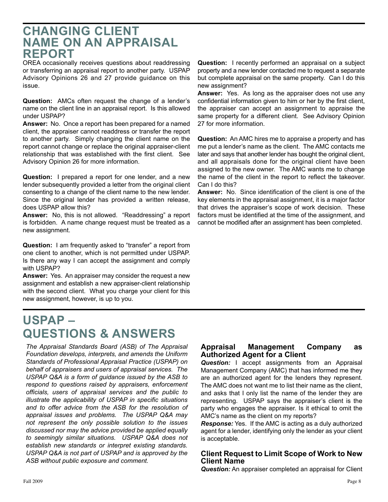# **CHANGING CLIENT NAME ON AN APPRAISAL REPORT**

 or transferring an appraisal report to another party. USPAP Advisory Opinions 26 and 27 provide guidance on this OREA occasionally receives questions about readdressing issue.

 **Question:** AMCs often request the change of a lender's name on the client line in an appraisal report. Is this allowed under USPAP?

 **Answer:** No. Once a report has been prepared for a named client, the appraiser cannot readdress or transfer the report to another party. Simply changing the client name on the report cannot change or replace the original appraiser-client relationship that was established with the first client. See Advisory Opinion 26 for more information.

 consenting to a change of the client name to the new lender. **Question:** I prepared a report for one lender, and a new lender subsequently provided a letter from the original client Since the original lender has provided a written release, does USPAP allow this?

 is forbidden. A name change request must be treated as a **Answer:** No, this is not allowed. "Readdressing" a report new assignment.

**Question:** I am frequently asked to "transfer" a report from one client to another, which is not permitted under USPAP. Is there any way I can accept the assignment and comply with USPAP?

 **Answer:** Yes. An appraiser may consider the request a new assignment and establish a new appraiser-client relationship with the second client. What you charge your client for this new assignment, however, is up to you.

# **QUESTIONS & ANSWERS USPAP –**

 *USPAP Q&A is a form of guidance issued by the ASB to appraisal issues and problems. The USPAP Q&A may to seemingly similar situations. USPAP Q&A does not USPAP Q&A is not part of USPAP and is approved by the The Appraisal Standards Board (ASB) of The Appraisal Foundation develops, interprets, and amends the Uniform Standards of Professional Appraisal Practice (USPAP) on behalf of appraisers and users of appraisal services. The respond to questions raised by appraisers, enforcement officials, users of appraisal services and the public to illustrate the applicability of USPAP in specific situations and to offer advice from the ASB for the resolution of not represent the only possible solution to the issues discussed nor may the advice provided be applied equally establish new standards or interpret existing standards. ASB without public exposure and comment.* 

 **Question:** I recently performed an appraisal on a subject property and a new lender contacted me to request a separate but complete appraisal on the same property. Can I do this new assignment?

 **Answer:** Yes. As long as the appraiser does not use any confidential information given to him or her by the first client, the appraiser can accept an assignment to appraise the same property for a different client. See Advisory Opinion 27 for more information.

 **Question:** An AMC hires me to appraise a property and has later and says that another lender has bought the original client, and all appraisals done for the original client have been me put a lender's name as the client. The AMC contacts me assigned to the new owner. The AMC wants me to change the name of the client in the report to reflect the takeover. Can I do this?

 **Answer:** No. Since identification of the client is one of the cannot be modified after an assignment has been completed. key elements in the appraisal assignment, it is a major factor that drives the appraiser's scope of work decision. These factors must be identified at the time of the assignment, and

### **Appraisal Management Company as Authorized Agent for a Client**

 representing. USPAP says the appraiser's client is the *Question:* I accept assignments from an Appraisal Management Company (AMC) that has informed me they are an authorized agent for the lenders they represent. The AMC does not want me to list their name as the client, and asks that I only list the name of the lender they are party who engages the appraiser. Is it ethical to omit the AMC's name as the client on my reports?

 *Response:* Yes. If the AMC is acting as a duly authorized agent for a lender, identifying only the lender as your client is acceptable.

### **Client Request to Limit Scope of Work to New Client Name**

*Question:* An appraiser completed an appraisal for Client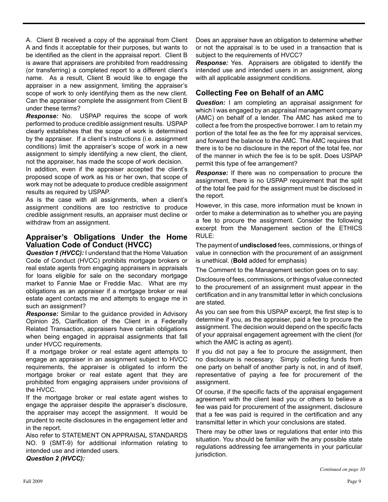A. Client B received a copy of the appraisal from Client A and finds it acceptable for their purposes, but wants to be identified as the client in the appraisal report. Client B is aware that appraisers are prohibited from readdressing (or transferring) a completed report to a different client's name. As a result, Client B would like to engage the appraiser in a new assignment, limiting the appraiser's scope of work to only identifying them as the new client. Can the appraiser complete the assignment from Client B under these terms?

 *Response:* No. USPAP requires the scope of work performed to produce credible assignment results. USPAP clearly establishes that the scope of work is determined by the appraiser. If a client's instructions (i.e. assignment conditions) limit the appraiser's scope of work in a new assignment to simply identifying a new client, the client, not the appraiser, has made the scope of work decision.

In addition, even if the appraiser accepted the client's proposed scope of work as his or her own, that scope of work may not be adequate to produce credible assignment results as required by USPAP.

As is the case with all assignments, when a client's assignment conditions are too restrictive to produce credible assignment results, an appraiser must decline or withdraw from an assignment.

### **Appraiser's Obligations Under the Home Valuation Code of Conduct (HVCC)**

*Question 1 (HVCC):* I understand that the Home Valuation Code of Conduct (HVCC) prohibits mortgage brokers or real estate agents from engaging appraisers in appraisals for loans eligible for sale on the secondary mortgage market to Fannie Mae or Freddie Mac. What are my obligations as an appraiser if a mortgage broker or real estate agent contacts me and attempts to engage me in such an assignment?

*Response:* Similar to the guidance provided in Advisory Opinion 25, Clarification of the Client in a Federally Related Transaction, appraisers have certain obligations when being engaged in appraisal assignments that fall under HVCC requirements.

If a mortgage broker or real estate agent attempts to engage an appraiser in an assignment subject to HVCC requirements, the appraiser is obligated to inform the mortgage broker or real estate agent that they are prohibited from engaging appraisers under provisions of the HVCC.

If the mortgage broker or real estate agent wishes to engage the appraiser despite the appraiser's disclosure, the appraiser may accept the assignment. It would be prudent to recite disclosures in the engagement letter and in the report.

Also refer to STATEMENT ON APPRAISAL STANDARDS NO. 9 (SMT-9) for additional information relating to intended use and intended users. *Question 2 (HVCC):* 

Does an appraiser have an obligation to determine whether or not the appraisal is to be used in a transaction that is subject to the requirements of HVCC?

*Response:* Yes. Appraisers are obligated to identify the intended use and intended users in an assignment, along with all applicable assignment conditions.

### **Collecting Fee on Behalf of an AMC**

*Question:* I am completing an appraisal assignment for which I was engaged by an appraisal management company (AMC) on behalf of a lender. The AMC has asked me to collect a fee from the prospective borrower. I am to retain my portion of the total fee as the fee for my appraisal services, and forward the balance to the AMC. The AMC requires that there is to be no disclosure in the report of the total fee, nor of the manner in which the fee is to be split. Does USPAP permit this type of fee arrangement?

*Response:* If there was no compensation to procure the assignment, there is no USPAP requirement that the split of the total fee paid for the assignment must be disclosed in the report.

However, in this case, more information must be known in order to make a determination as to whether you are paying a fee to procure the assignment. Consider the following excerpt from the Management section of the ETHICS RULE:

The payment of **undisclosed** fees, commissions, or things of value in connection with the procurement of an assignment is unethical. (**Bold** added for emphasis)

The Comment to the Management section goes on to say:

Disclosure of fees, commissions, or things of value connected to the procurement of an assignment must appear in the certification and in any transmittal letter in which conclusions are stated.

As you can see from this USPAP excerpt, the first step is to determine if you, as the appraiser, paid a fee to procure the assignment. The decision would depend on the specific facts of your appraisal engagement agreement with the client (for which the AMC is acting as agent).

If you did not pay a fee to procure the assignment, then no disclosure is necessary. Simply collecting funds from one party on behalf of another party is not, in and of itself, representative of paying a fee for procurement of the assignment.

Of course, if the specific facts of the appraisal engagement agreement with the client lead you or others to believe a fee was paid for procurement of the assignment, disclosure that a fee was paid is required in the certification and any transmittal letter in which your conclusions are stated.

There may be other laws or regulations that enter into this situation. You should be familiar with the any possible state regulations addressing fee arrangements in your particular jurisdiction.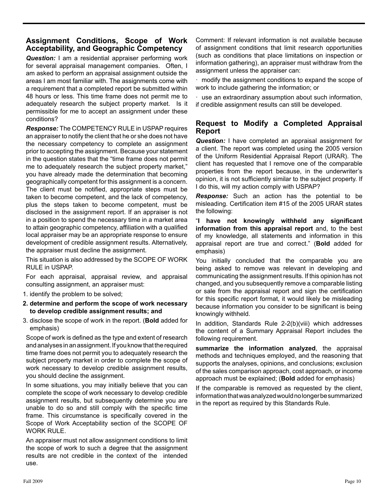### **Assignment Conditions, Scope of Work Acceptability, and Geographic Competency**

**Question:** I am a residential appraiser performing work for several appraisal management companies. Often, I am asked to perform an appraisal assignment outside the areas I am most familiar with. The assignments come with a requirement that a completed report be submitted within 48 hours or less. This time frame does not permit me to adequately research the subject property market. Is it permissible for me to accept an assignment under these conditions?

*Response:* The COMPETENCY RULE in USPAP requires an appraiser to notify the client that he or she does not have the necessary competency to complete an assignment prior to accepting the assignment. Because your statement in the question states that the "time frame does not permit me to adequately research the subject property market," you have already made the determination that becoming geographically competent for this assignment is a concern. The client must be notified, appropriate steps must be taken to become competent, and the lack of competency, plus the steps taken to become competent, must be disclosed in the assignment report. If an appraiser is not in a position to spend the necessary time in a market area to attain geographic competency, affiliation with a qualified local appraiser may be an appropriate response to ensure development of credible assignment results. Alternatively, the appraiser must decline the assignment.

This situation is also addressed by the SCOPE OF WORK RULE in USPAP.

For each appraisal, appraisal review, and appraisal consulting assignment, an appraiser must:

- 1. identify the problem to be solved;
- **2. determine and perform the scope of work necessary to develop credible assignment results; and**
- 3. disclose the scope of work in the report. (**Bold** added for emphasis)

Scope of work is defined as the type and extent of research and analyses in an assignment. If you know that the required time frame does not permit you to adequately research the subject property market in order to complete the scope of work necessary to develop credible assignment results, you should decline the assignment.

In some situations, you may initially believe that you can complete the scope of work necessary to develop credible assignment results, but subsequently determine you are unable to do so and still comply with the specific time frame. This circumstance is specifically covered in the Scope of Work Acceptability section of the SCOPE OF WORK RULE.

An appraiser must not allow assignment conditions to limit the scope of work to such a degree that the assignment results are not credible in the context of the intended use.

Comment: If relevant information is not available because of assignment conditions that limit research opportunities (such as conditions that place limitations on inspection or information gathering), an appraiser must withdraw from the assignment unless the appraiser can:

modify the assignment conditions to expand the scope of work to include gathering the information; or

· use an extraordinary assumption about such information, if credible assignment results can still be developed.

### **Request to Modify a Completed Appraisal Report**

*Question:* I have completed an appraisal assignment for a client. The report was completed using the 2005 version of the Uniform Residential Appraisal Report (URAR). The client has requested that I remove one of the comparable properties from the report because, in the underwriter's opinion, it is not sufficiently similar to the subject property. If I do this, will my action comply with USPAP?

*Response:* Such an action has the potential to be misleading. Certification item #15 of the 2005 URAR states the following:

"**I have not knowingly withheld any significant information from this appraisal report** and, to the best of my knowledge, all statements and information in this appraisal report are true and correct." (**Bold** added for emphasis)

You initially concluded that the comparable you are being asked to remove was relevant in developing and communicating the assignment results. If this opinion has not changed, and you subsequently remove a comparable listing or sale from the appraisal report and sign the certification for this specific report format, it would likely be misleading because information you consider to be significant is being knowingly withheld.

In addition, Standards Rule 2-2(b)(viii) which addresses the content of a Summary Appraisal Report includes the following requirement.

**summarize the information analyzed**, the appraisal methods and techniques employed, and the reasoning that supports the analyses, opinions, and conclusions; exclusion of the sales comparison approach, cost approach, or income approach must be explained; (**Bold** added for emphasis)

If the comparable is removed as requested by the client, information that was analyzed would no longer be summarized in the report as required by this Standards Rule.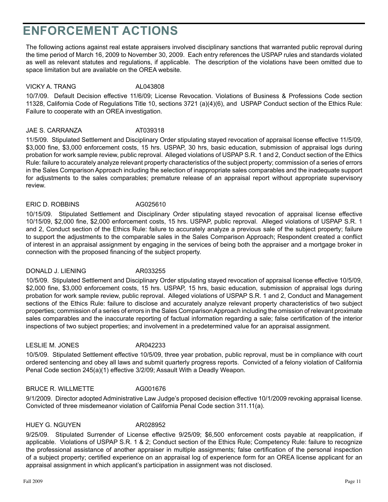# **ENFORCEMENT ACTIONS**

The following actions against real estate appraisers involved disciplinary sanctions that warranted public reproval during the time period of March 16, 2009 to November 30, 2009. Each entry references the USPAP rules and standards violated as well as relevant statutes and regulations, if applicable. The description of the violations have been omitted due to space limitation but are available on the OREA website.

#### VICKY A. TRANG AL043808

 11328, California Code of Regulations Title 10, sections 3721 (a)(4)(6), and USPAP Conduct section of the Ethics Rule: 10/7/09. Default Decision effective 11/6/09; License Revocation. Violations of Business & Professions Code section Failure to cooperate with an OREA investigation.

#### JAE S. CARRANZA AT039318

11/5/09. Stipulated Settlement and Disciplinary Order stipulating stayed revocation of appraisal license effective 11/5/09, \$3,000 fine, \$3,000 enforcement costs, 15 hrs. USPAP, 30 hrs, basic education, submission of appraisal logs during probation for work sample review, public reproval. Alleged violations of USPAP S.R. 1 and 2, Conduct section of the Ethics Rule: failure to accurately analyze relevant property characteristics of the subject property; commission of a series of errors in the Sales Comparison Approach including the selection of inappropriate sales comparables and the inadequate support for adjustments to the sales comparables; premature release of an appraisal report without appropriate supervisory review.

#### ERIC D. ROBBINS AG025610

10/15/09. Stipulated Settlement and Disciplinary Order stipulating stayed revocation of appraisal license effective 10/15/09, \$2,000 fine, \$2,000 enforcement costs, 15 hrs. USPAP, public reproval. Alleged violations of USPAP S.R. 1 and 2, Conduct section of the Ethics Rule: failure to accurately analyze a previous sale of the subject property; failure to support the adjustments to the comparable sales in the Sales Comparison Approach; Respondent created a conflict of interest in an appraisal assignment by engaging in the services of being both the appraiser and a mortgage broker in connection with the proposed financing of the subject property.

DONALD J. LIENING AR033255

10/5/09. Stipulated Settlement and Disciplinary Order stipulating stayed revocation of appraisal license effective 10/5/09, \$2,000 fine, \$3,000 enforcement costs, 15 hrs. USPAP, 15 hrs, basic education, submission of appraisal logs during probation for work sample review, public reproval. Alleged violations of USPAP S.R. 1 and 2, Conduct and Management sections of the Ethics Rule: failure to disclose and accurately analyze relevant property characteristics of two subject properties; commission of a series of errors in the Sales Comparison Approach including the omission of relevant proximate sales comparables and the inaccurate reporting of factual information regarding a sale; false certification of the interior inspections of two subject properties; and involvement in a predetermined value for an appraisal assignment.

#### LESLIE M. JONES AR042233

10/5/09. Stipulated Settlement effective 10/5/09, three year probation, public reproval, must be in compliance with court ordered sentencing and obey all laws and submit quarterly progress reports. Convicted of a felony violation of California Penal Code section 245(a)(1) effective 3/2/09; Assault With a Deadly Weapon.

### BRUCE R. WILLMETTE AG001676

9/1/2009. Director adopted Administrative Law Judge's proposed decision effective 10/1/2009 revoking appraisal license. Convicted of three misdemeanor violation of California Penal Code section 311.11(a).

### HUEY G. NGUYEN AR028952

9/25/09. Stipulated Surrender of License effective 9/25/09; \$6,500 enforcement costs payable at reapplication, if applicable. Violations of USPAP S.R. 1 & 2; Conduct section of the Ethics Rule; Competency Rule: failure to recognize the professional assistance of another appraiser in multiple assignments; false certification of the personal inspection of a subject property; certified experience on an appraisal log of experience form for an OREA license applicant for an appraisal assignment in which applicant's participation in assignment was not disclosed.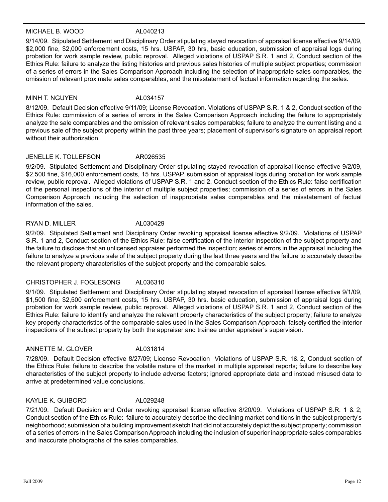#### MICHAEL B. WOOD AL040213

9/14/09. Stipulated Settlement and Disciplinary Order stipulating stayed revocation of appraisal license effective 9/14/09, \$2,000 fine, \$2,000 enforcement costs, 15 hrs. USPAP, 30 hrs, basic education, submission of appraisal logs during probation for work sample review, public reproval. Alleged violations of USPAP S.R. 1 and 2, Conduct section of the Ethics Rule: failure to analyze the listing histories and previous sales histories of multiple subject properties; commission of a series of errors in the Sales Comparison Approach including the selection of inappropriate sales comparables, the omission of relevant proximate sales comparables, and the misstatement of factual information regarding the sales.

#### MINH T. NGUYEN AL034157

8/12/09. Default Decision effective 9/11/09; License Revocation. Violations of USPAP S.R. 1 & 2, Conduct section of the Ethics Rule: commission of a series of errors in the Sales Comparison Approach including the failure to appropriately analyze the sale comparables and the omission of relevant sales comparables; failure to analyze the current listing and a previous sale of the subject property within the past three years; placement of supervisor's signature on appraisal report without their authorization.

#### JENELLE K. TOLLEFSON AR026535

9/2/09. Stipulated Settlement and Disciplinary Order stipulating stayed revocation of appraisal license effective 9/2/09, \$2,500 fine, \$16,000 enforcement costs, 15 hrs. USPAP, submission of appraisal logs during probation for work sample review, public reproval. Alleged violations of USPAP S.R. 1 and 2, Conduct section of the Ethics Rule: false certification of the personal inspections of the interior of multiple subject properties; commission of a series of errors in the Sales Comparison Approach including the selection of inappropriate sales comparables and the misstatement of factual information of the sales.

#### RYAN D. MILLER AL030429

9/2/09. Stipulated Settlement and Disciplinary Order revoking appraisal license effective 9/2/09. Violations of USPAP S.R. 1 and 2, Conduct section of the Ethics Rule: false certification of the interior inspection of the subject property and the failure to disclose that an unlicensed appraiser performed the inspection; series of errors in the appraisal including the failure to analyze a previous sale of the subject property during the last three years and the failure to accurately describe the relevant property characteristics of the subject property and the comparable sales.

### CHRISTOPHER J. FOGLESONG AL036310

9/1/09. Stipulated Settlement and Disciplinary Order stipulating stayed revocation of appraisal license effective 9/1/09, \$1,500 fine, \$2,500 enforcement costs, 15 hrs. USPAP, 30 hrs. basic education, submission of appraisal logs during probation for work sample review, public reproval. Alleged violations of USPAP S.R. 1 and 2, Conduct section of the Ethics Rule: failure to identify and analyze the relevant property characteristics of the subject property; failure to analyze key property characteristics of the comparable sales used in the Sales Comparison Approach; falsely certified the interior inspections of the subject property by both the appraiser and trainee under appraiser's supervision.

#### ANNETTE M. GLOVER AL031814

7/28/09. Default Decision effective 8/27/09; License Revocation Violations of USPAP S.R. 1& 2, Conduct section of the Ethics Rule: failure to describe the volatile nature of the market in multiple appraisal reports; failure to describe key characteristics of the subject property to include adverse factors; ignored appropriate data and instead misused data to arrive at predetermined value conclusions.

#### KAYLIE K. GUIBORD AL029248

7/21/09. Default Decision and Order revoking appraisal license effective 8/20/09. Violations of USPAP S.R. 1 & 2; Conduct section of the Ethics Rule: failure to accurately describe the declining market conditions in the subject property's neighborhood; submission of a building improvement sketch that did not accurately depict the subject property; commission of a series of errors in the Sales Comparison Approach including the inclusion of superior inappropriate sales comparables and inaccurate photographs of the sales comparables.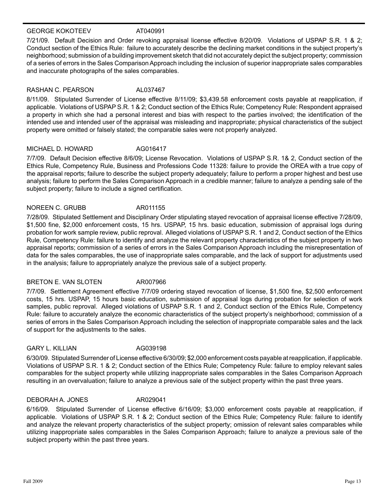#### GEORGE KOKOTEEV AT040991

7/21/09. Default Decision and Order revoking appraisal license effective 8/20/09. Violations of USPAP S.R. 1 & 2; Conduct section of the Ethics Rule: failure to accurately describe the declining market conditions in the subject property's neighborhood; submission of a building improvement sketch that did not accurately depict the subject property; commission of a series of errors in the Sales Comparison Approach including the inclusion of superior inappropriate sales comparables and inaccurate photographs of the sales comparables.

#### RASHAN C. PEARSON AL037467

8/11/09. Stipulated Surrender of License effective 8/11/09; \$[3,439.58](https://3,439.58) enforcement costs payable at reapplication, if applicable. Violations of USPAP S.R. 1 & 2; Conduct section of the Ethics Rule; Competency Rule: Respondent appraised a property in which she had a personal interest and bias with respect to the parties involved; the identification of the intended use and intended user of the appraisal was misleading and inappropriate; physical characteristics of the subject property were omitted or falsely stated; the comparable sales were not properly analyzed.

#### MICHAEL D. HOWARD AG016417

7/7/09. Default Decision effective 8/6/09; License Revocation. Violations of USPAP S.R. 1& 2, Conduct section of the Ethics Rule, Competency Rule, Business and Professions Code 11328: failure to provide the OREA with a true copy of the appraisal reports; failure to describe the subject property adequately; failure to perform a proper highest and best use analysis; failure to perform the Sales Comparison Approach in a credible manner; failure to analyze a pending sale of the subject property; failure to include a signed certification.

#### NOREEN C. GRUBB AR011155

7/28/09. Stipulated Settlement and Disciplinary Order stipulating stayed revocation of appraisal license effective 7/28/09, \$1,500 fine, \$2,000 enforcement costs, 15 hrs. USPAP, 15 hrs. basic education, submission of appraisal logs during probation for work sample review, public reproval. Alleged violations of USPAP S.R. 1 and 2, Conduct section of the Ethics Rule, Competency Rule: failure to identify and analyze the relevant property characteristics of the subject property in two appraisal reports; commission of a series of errors in the Sales Comparison Approach including the misrepresentation of data for the sales comparables, the use of inappropriate sales comparable, and the lack of support for adjustments used in the analysis; failure to appropriately analyze the previous sale of a subject property.

#### BRETON E. VAN SLOTEN AR007966

7/7/09. Settlement Agreement effective 7/7/09 ordering stayed revocation of license, \$1,500 fine, \$2,500 enforcement costs, 15 hrs. USPAP, 15 hours basic education, submission of appraisal logs during probation for selection of work samples, public reproval. Alleged violations of USPAP S.R. 1 and 2, Conduct section of the Ethics Rule, Competency Rule: failure to accurately analyze the economic characteristics of the subject property's neighborhood; commission of a series of errors in the Sales Comparison Approach including the selection of inappropriate comparable sales and the lack of support for the adjustments to the sales.

#### GARY L. KILLIAN AG039198

6/30/09. Stipulated Surrender of License effective 6/30/09; \$2,000 enforcement costs payable at reapplication, if applicable. Violations of USPAP S.R. 1 & 2; Conduct section of the Ethics Rule; Competency Rule: failure to employ relevant sales comparables for the subject property while utilizing inappropriate sales comparables in the Sales Comparison Approach resulting in an overvaluation; failure to analyze a previous sale of the subject property within the past three years.

#### DEBORAH A. JONES AR029041

6/16/09. Stipulated Surrender of License effective 6/16/09; \$3,000 enforcement costs payable at reapplication, if applicable. Violations of USPAP S.R. 1 & 2; Conduct section of the Ethics Rule; Competency Rule: failure to identify and analyze the relevant property characteristics of the subject property; omission of relevant sales comparables while utilizing inappropriate sales comparables in the Sales Comparison Approach; failure to analyze a previous sale of the subject property within the past three years.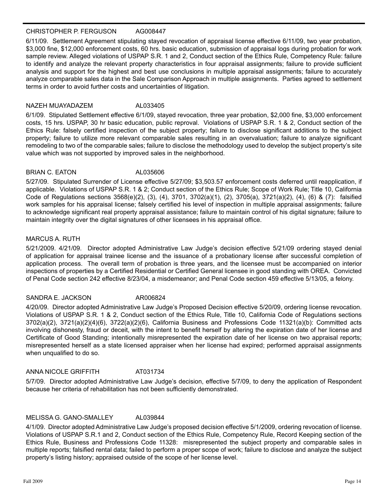#### CHRISTOPHER P. FERGUSON AG008447

6/11/09. Settlement Agreement stipulating stayed revocation of appraisal license effective 6/11/09, two year probation, \$3,000 fine, \$12,000 enforcement costs, 60 hrs. basic education, submission of appraisal logs during probation for work sample review. Alleged violations of USPAP S.R. 1 and 2, Conduct section of the Ethics Rule, Competency Rule: failure to identify and analyze the relevant property characteristics in four appraisal assignments; failure to provide sufficient analysis and support for the highest and best use conclusions in multiple appraisal assignments; failure to accurately analyze comparable sales data in the Sale Comparison Approach in multiple assignments. Parties agreed to settlement terms in order to avoid further costs and uncertainties of litigation.

#### NAZEH MUAYADAZEM AL033405

6/1/09. Stipulated Settlement effective 6/1/09, stayed revocation, three year probation, \$2,000 fine, \$3,000 enforcement costs, 15 hrs. USPAP, 30 hr basic education, public reproval. Violations of USPAP S.R. 1 & 2, Conduct section of the Ethics Rule: falsely certified inspection of the subject property; failure to disclose significant additions to the subject property; failure to utilize more relevant comparable sales resulting in an overvaluation; failure to analyze significant remodeling to two of the comparable sales; failure to disclose the methodology used to develop the subject property's site value which was not supported by improved sales in the neighborhood.

#### BRIAN C. EATON AL035606

5/27/09. Stipulated Surrender of License effective 5/27/09; \$[3,503.57](https://3,503.57) enforcement costs deferred until reapplication, if applicable. Violations of USPAP S.R. 1 & 2; Conduct section of the Ethics Rule; Scope of Work Rule; Title 10, California Code of Regulations sections 3568(e)(2), (3), (4), 3701, 3702(a)(1), (2), 3705(a), 3721(a)(2), (4), (6) & (7): falsified work samples for his appraisal license; falsely certified his level of inspection in multiple appraisal assignments; failure to acknowledge significant real property appraisal assistance; failure to maintain control of his digital signature; failure to maintain integrity over the digital signatures of other licensees in his appraisal office.

#### MARCUS A. RUTH

5/21/2009. 4/21/09. Director adopted Administrative Law Judge's decision effective 5/21/09 ordering stayed denial of application for appraisal trainee license and the issuance of a probationary license after successful completion of application process. The overall term of probation is three years, and the licensee must be accompanied on interior inspections of properties by a Certified Residential or Certified General licensee in good standing with OREA. Convicted of Penal Code section 242 effective 8/23/04, a misdemeanor; and Penal Code section 459 effective 5/13/05, a felony.

#### SANDRA E. JACKSON AR006824

4/20/09. Director adopted Administrative Law Judge's Proposed Decision effective 5/20/09, ordering license revocation. Violations of USPAP S.R. 1 & 2, Conduct section of the Ethics Rule, Title 10, California Code of Regulations sections 3702(a)(2), 3721(a)(2)(4)(6), 3722(a)(2)(6), California Business and Professions Code 11321(a)(b): Committed acts involving dishonesty, fraud or deceit, with the intent to benefit herself by altering the expiration date of her license and Certificate of Good Standing; intentionally misrepresented the expiration date of her license on two appraisal reports; misrepresented herself as a state licensed appraiser when her license had expired; performed appraisal assignments when unqualified to do so.

#### ANNA NICOLE GRIFFITH AT031734

5/7/09. Director adopted Administrative Law Judge's decision, effective 5/7/09, to deny the application of Respondent because her criteria of rehabilitation has not been sufficiently demonstrated.

#### MELISSA G. GANO-SMALLEY AL039844

4/1/09. Director adopted Administrative Law Judge's proposed decision effective 5/1/2009, ordering revocation of license. Violations of USPAP S.R.1 and 2, Conduct section of the Ethics Rule, Competency Rule, Record Keeping section of the Ethics Rule, Business and Professions Code 11328: misrepresented the subject property and comparable sales in multiple reports; falsified rental data; failed to perform a proper scope of work; failure to disclose and analyze the subject property's listing history; appraised outside of the scope of her license level.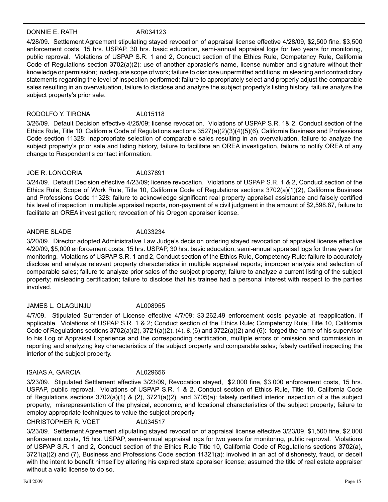#### DONNIE E. RATH AR034123

4/28/09. Settlement Agreement stipulating stayed revocation of appraisal license effective 4/28/09, \$2,500 fine, \$3,500 enforcement costs, 15 hrs. USPAP, 30 hrs. basic education, semi-annual appraisal logs for two years for monitoring, public reproval. Violations of USPAP S.R. 1 and 2, Conduct section of the Ethics Rule, Competency Rule, California Code of Regulations section 3702(a)(2): use of another apprasier's name, license number and signature without their knowledge or permission; inadequate scope of work; failure to disclose unpermitted additions; misleading and contradictory statements regarding the level of inspection performed; failure to appropriately select and properly adjust the comparable sales resulting in an overvaluation, failure to disclose and analyze the subject property's listing history, failure analyze the subject property's prior sale.

#### RODOLFO Y. TIRONA AL015118

3/26/09. Default Decision effective 4/25/09; license revocation. Violations of USPAP S.R. 1& 2, Conduct section of the Ethics Rule, Title 10, California Code of Regulations sections 3527(a)(2)(3)(4)(5)(6), California Business and Professions Code section 11328: inappropriate selection of comparable sales resulting in an overvaluation, failure to analyze the subject property's prior sale and listing history, failure to facilitate an OREA investigation, failure to notify OREA of any change to Respondent's contact information.

#### JOE R. LONGORIA AL037891

3/24/09. Default Decision effective 4/23/09; license revocation. Violations of USPAP S.R. 1 & 2, Conduct section of the Ethics Rule, Scope of Work Rule, Title 10, California Code of Regulations sections 3702(a)(1)(2), California Business and Professions Code 11328: failure to acknowledge significant real property appraisal assistance and falsely certified his level of inspection in multiple appraisal reports, non-payment of a civil judgment in the amount of [\\$2,598.87](https://2,598.87), failure to facilitate an OREA investigation; revocation of his Oregon appraiser license.

#### ANDRE SLADE AL033234

3/20/09. Director adopted Administrative Law Judge's decision ordering stayed revocation of appraisal license effective 4/20/09, \$5,000 enforcement costs, 15 hrs. USPAP, 30 hrs. basic education, semi-annual appraisal logs for three years for monitoring. Violations of USPAP S.R. 1 and 2, Conduct section of the Ethics Rule, Competency Rule: failure to accurately disclose and analyze relevant property characteristics in multiple appraisal reports; improper analysis and selection of comparable sales; failure to analyze prior sales of the subject property; failure to analyze a current listing of the subject property; misleading certification; failure to disclose that his trainee had a personal interest with respect to the parties involved.

#### JAMES L. OLAGUNJU AL008955

4/7/09. Stipulated Surrender of License effective 4/7/09; \$[3,262.49](https://3,262.49) enforcement costs payable at reapplication, if applicable. Violations of USPAP S.R. 1 & 2; Conduct section of the Ethics Rule; Competency Rule; Title 10, California Code of Regulations sections  $3702(a)(2)$ ,  $3721(a)(2)$ ,  $(4)$ , &  $(6)$  and  $3722(a)(2)$  and  $(6)$ : forged the name of his supervisor to his Log of Appraisal Experience and the corresponding certification, multiple errors of omission and commission in reporting and analyzing key characteristics of the subject property and comparable sales; falsely certified inspecting the interior of the subject property.

#### ISAIAS A. GARCIA AL029656

3/23/09. Stipulated Settlement effective 3/23/09, Revocation stayed, \$2,000 fine, \$3,000 enforcement costs, 15 hrs. USPAP, public reproval. Violations of USPAP S.R. 1 & 2, Conduct section of Ethics Rule, Title 10, California Code of Regulations sections 3702(a)(1) & (2), 3721(a)(2), and 3705(a): falsely certified interior inspection of a the subject property, misrepresentation of the physical, economic, and locational characteristics of the subject property; failure to employ appropriate techniques to value the subject property.

#### CHRISTOPHER R. VOET AL034517

3/23/09. Settlement Agreement stipulating stayed revocation of appraisal license effective 3/23/09, \$1,500 fine, \$2,000 enforcement costs, 15 hrs. USPAP, semi-annual appraisal logs for two years for monitoring, public reproval. Violations of USPAP S.R. 1 and 2, Conduct section of the Ethics Rule Title 10, California Code of Regulations sections 3702(a), 3721(a)(2) and (7), Business and Professions Code section 11321(a): involved in an act of dishonesty, fraud, or deceit with the intent to benefit himself by altering his expired state appraiser license; assumed the title of real estate appraiser without a valid license to do so.